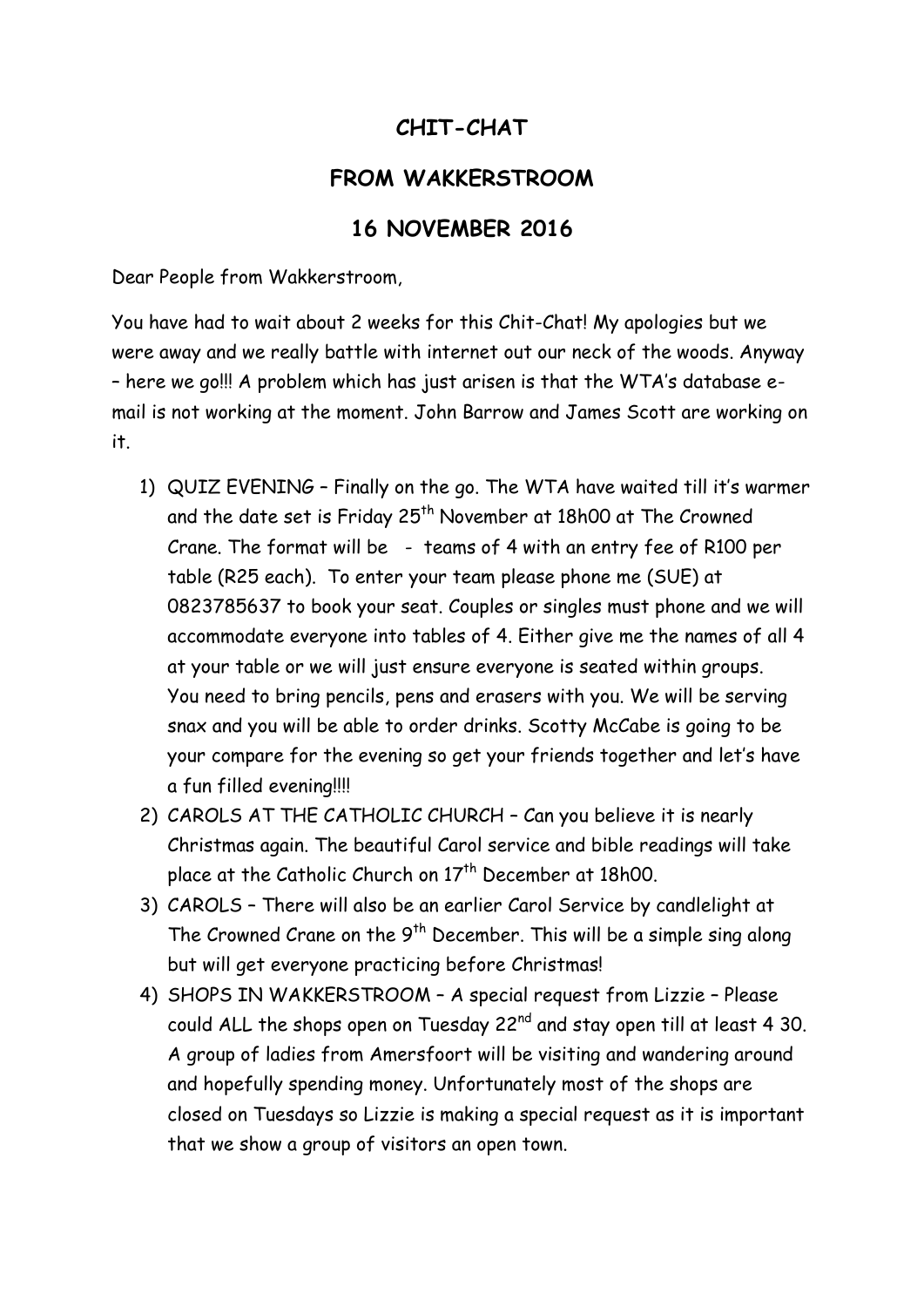## **CHIT-CHAT**

## **FROM WAKKERSTROOM**

## **16 NOVEMBER 2016**

Dear People from Wakkerstroom,

You have had to wait about 2 weeks for this Chit-Chat! My apologies but we were away and we really battle with internet out our neck of the woods. Anyway – here we go!!! A problem which has just arisen is that the WTA's database email is not working at the moment. John Barrow and James Scott are working on it.

- 1) QUIZ EVENING Finally on the go. The WTA have waited till it's warmer and the date set is Friday 25<sup>th</sup> November at 18h00 at The Crowned Crane. The format will be - teams of 4 with an entry fee of R100 per table (R25 each). To enter your team please phone me (SUE) at 0823785637 to book your seat. Couples or singles must phone and we will accommodate everyone into tables of 4. Either give me the names of all 4 at your table or we will just ensure everyone is seated within groups. You need to bring pencils, pens and erasers with you. We will be serving snax and you will be able to order drinks. Scotty McCabe is going to be your compare for the evening so get your friends together and let's have a fun filled evening!!!!
- 2) CAROLS AT THE CATHOLIC CHURCH Can you believe it is nearly Christmas again. The beautiful Carol service and bible readings will take place at the Catholic Church on 17<sup>th</sup> December at 18h00.
- 3) CAROLS There will also be an earlier Carol Service by candlelight at The Crowned Crane on the  $9<sup>th</sup>$  December. This will be a simple sing along but will get everyone practicing before Christmas!
- 4) SHOPS IN WAKKERSTROOM A special request from Lizzie Please could ALL the shops open on Tuesday 22<sup>nd</sup> and stay open till at least 4 30. A group of ladies from Amersfoort will be visiting and wandering around and hopefully spending money. Unfortunately most of the shops are closed on Tuesdays so Lizzie is making a special request as it is important that we show a group of visitors an open town.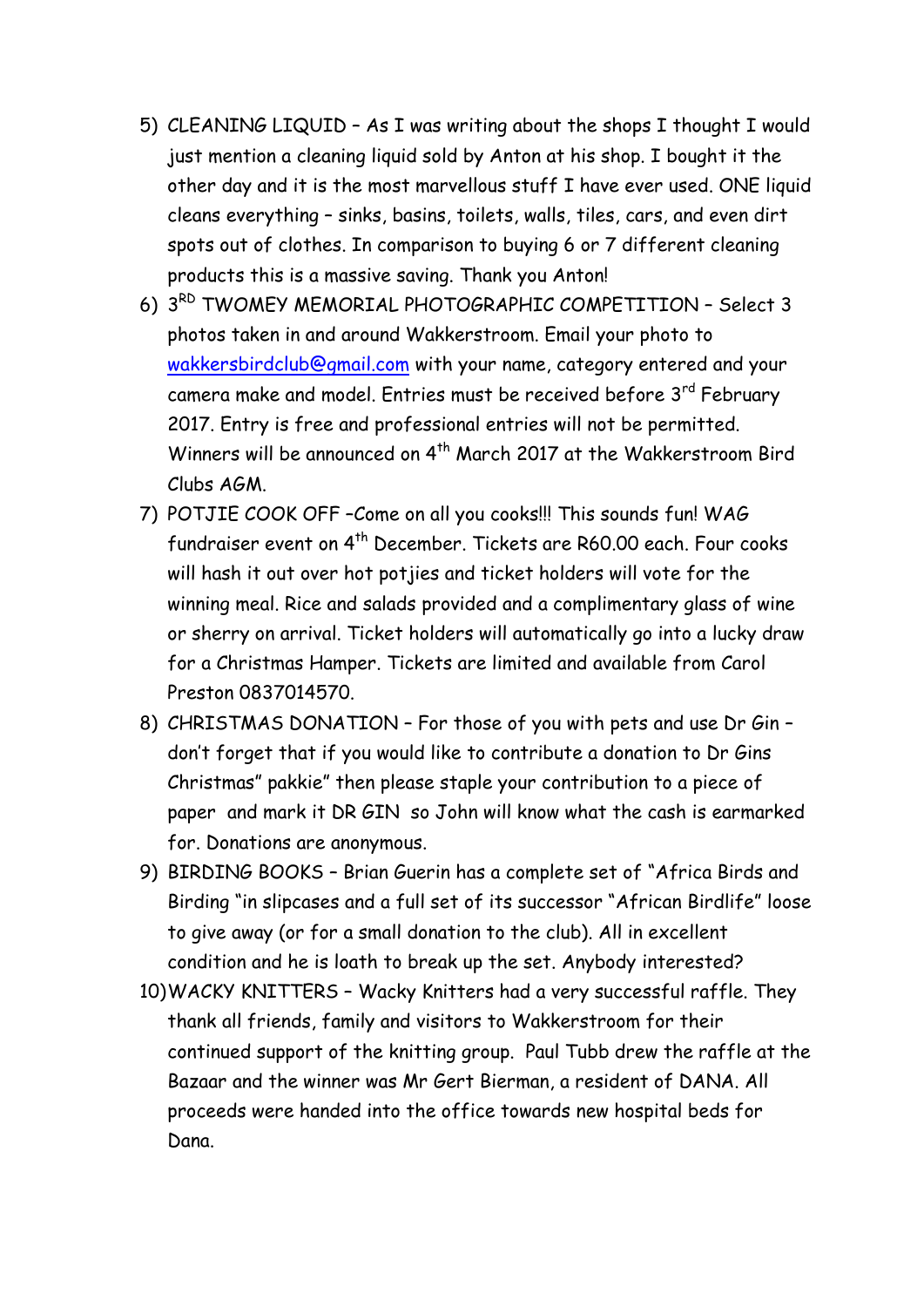- 5) CLEANING LIQUID As I was writing about the shops I thought I would just mention a cleaning liquid sold by Anton at his shop. I bought it the other day and it is the most marvellous stuff I have ever used. ONE liquid cleans everything – sinks, basins, toilets, walls, tiles, cars, and even dirt spots out of clothes. In comparison to buying 6 or 7 different cleaning products this is a massive saving. Thank you Anton!
- 6) 3 RD TWOMEY MEMORIAL PHOTOGRAPHIC COMPETITION Select 3 photos taken in and around Wakkerstroom. Email your photo to [wakkersbirdclub@gmail.com](mailto:wakkersbirdclub@gmail.com) with your name, category entered and your camera make and model. Entries must be received before 3<sup>rd</sup> February 2017. Entry is free and professional entries will not be permitted. Winners will be announced on 4<sup>th</sup> March 2017 at the Wakkerstroom Bird Clubs AGM.
- 7) POTJIE COOK OFF –Come on all you cooks!!! This sounds fun! WAG fundraiser event on 4<sup>th</sup> December. Tickets are R60.00 each. Four cooks will hash it out over hot potjies and ticket holders will vote for the winning meal. Rice and salads provided and a complimentary glass of wine or sherry on arrival. Ticket holders will automatically go into a lucky draw for a Christmas Hamper. Tickets are limited and available from Carol Preston 0837014570.
- 8) CHRISTMAS DONATION For those of you with pets and use Dr Gin don't forget that if you would like to contribute a donation to Dr Gins Christmas" pakkie" then please staple your contribution to a piece of paper and mark it DR GIN so John will know what the cash is earmarked for. Donations are anonymous.
- 9) BIRDING BOOKS Brian Guerin has a complete set of "Africa Birds and Birding "in slipcases and a full set of its successor "African Birdlife" loose to give away (or for a small donation to the club). All in excellent condition and he is loath to break up the set. Anybody interested?
- 10)WACKY KNITTERS Wacky Knitters had a very successful raffle. They thank all friends, family and visitors to Wakkerstroom for their continued support of the knitting group. Paul Tubb drew the raffle at the Bazaar and the winner was Mr Gert Bierman, a resident of DANA. All proceeds were handed into the office towards new hospital beds for Dana.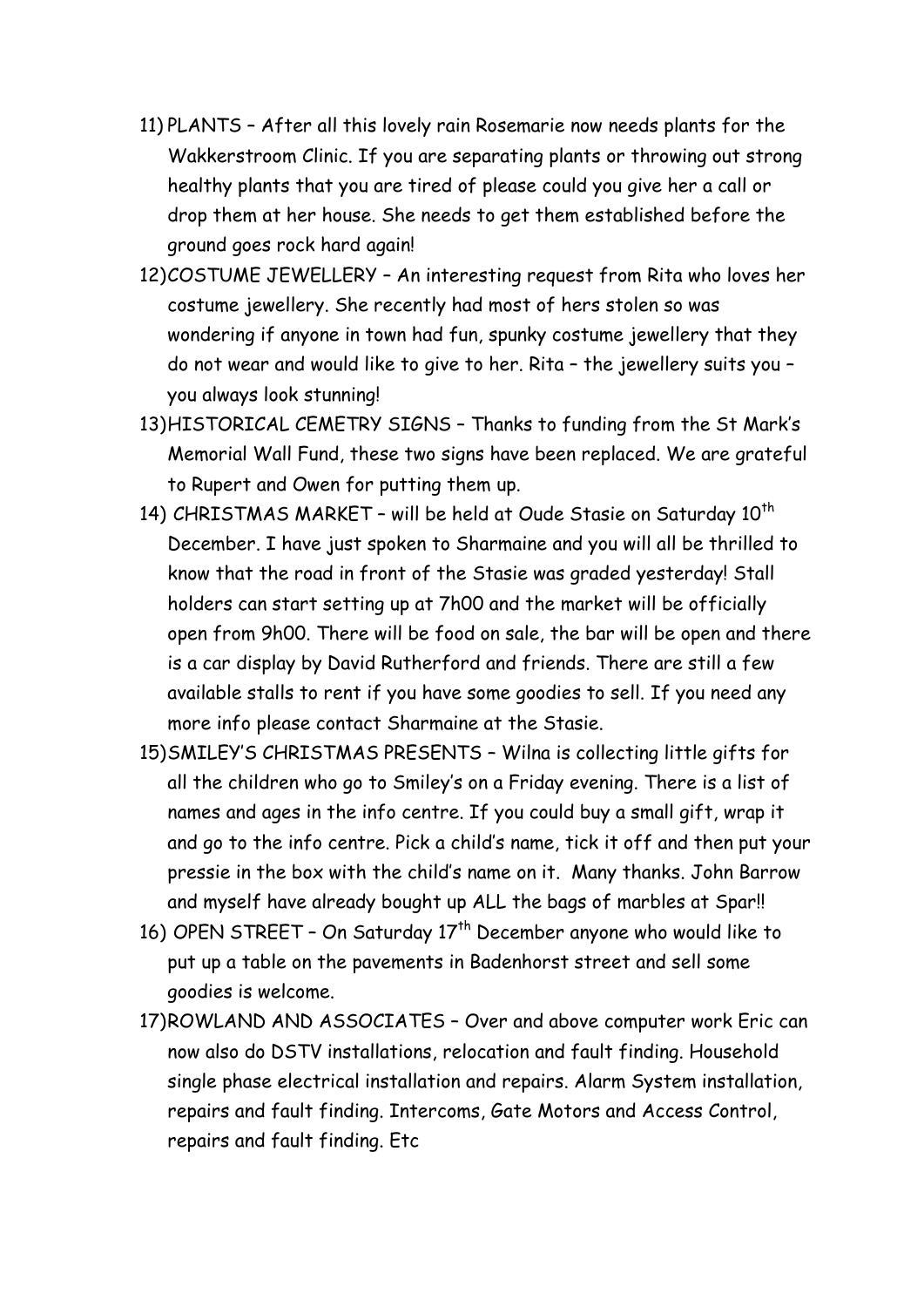- 11) PLANTS After all this lovely rain Rosemarie now needs plants for the Wakkerstroom Clinic. If you are separating plants or throwing out strong healthy plants that you are tired of please could you give her a call or drop them at her house. She needs to get them established before the ground goes rock hard again!
- 12)COSTUME JEWELLERY An interesting request from Rita who loves her costume jewellery. She recently had most of hers stolen so was wondering if anyone in town had fun, spunky costume jewellery that they do not wear and would like to give to her. Rita – the jewellery suits you – you always look stunning!
- 13)HISTORICAL CEMETRY SIGNS Thanks to funding from the St Mark's Memorial Wall Fund, these two signs have been replaced. We are grateful to Rupert and Owen for putting them up.
- 14) CHRISTMAS MARKET will be held at Oude Stasie on Saturday 10<sup>th</sup> December. I have just spoken to Sharmaine and you will all be thrilled to know that the road in front of the Stasie was graded yesterday! Stall holders can start setting up at 7h00 and the market will be officially open from 9h00. There will be food on sale, the bar will be open and there is a car display by David Rutherford and friends. There are still a few available stalls to rent if you have some goodies to sell. If you need any more info please contact Sharmaine at the Stasie.
- 15)SMILEY'S CHRISTMAS PRESENTS Wilna is collecting little gifts for all the children who go to Smiley's on a Friday evening. There is a list of names and ages in the info centre. If you could buy a small gift, wrap it and go to the info centre. Pick a child's name, tick it off and then put your pressie in the box with the child's name on it. Many thanks. John Barrow and myself have already bought up ALL the bags of marbles at Spar!!
- 16) OPEN STREET On Saturday  $17<sup>th</sup>$  December anyone who would like to put up a table on the pavements in Badenhorst street and sell some goodies is welcome.
- 17)ROWLAND AND ASSOCIATES Over and above computer work Eric can now also do DSTV installations, relocation and fault finding. Household single phase electrical installation and repairs. Alarm System installation, repairs and fault finding. Intercoms, Gate Motors and Access Control, repairs and fault finding. Etc